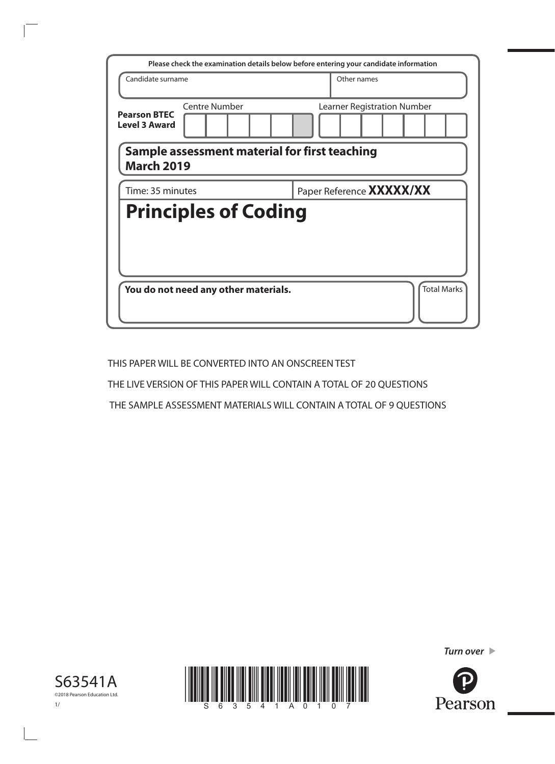| Please check the examination details below before entering your candidate information |                             |  |  |  |  |
|---------------------------------------------------------------------------------------|-----------------------------|--|--|--|--|
| Candidate surname                                                                     | Other names                 |  |  |  |  |
| <b>Centre Number</b><br><b>Pearson BTEC</b><br><b>Level 3 Award</b>                   | Learner Registration Number |  |  |  |  |
| Sample assessment material for first teaching<br><b>March 2019</b>                    |                             |  |  |  |  |
| Paper Reference <b>XXXXX/XX</b><br>Time: 35 minutes                                   |                             |  |  |  |  |
| <b>Principles of Coding</b>                                                           |                             |  |  |  |  |
| You do not need any other materials.                                                  | <b>Total Marks</b>          |  |  |  |  |

THIS PAPER WILL BE CONVERTED INTO AN ONSCREEN TEST

THE LIVE VERSION OF THIS PAPER WILL CONTAIN A TOTAL OF 20 QUESTIONS

THE SAMPLE ASSESSMENT MATERIALS WILL CONTAIN A TOTAL OF 9 QUESTIONS

*Turn over* 





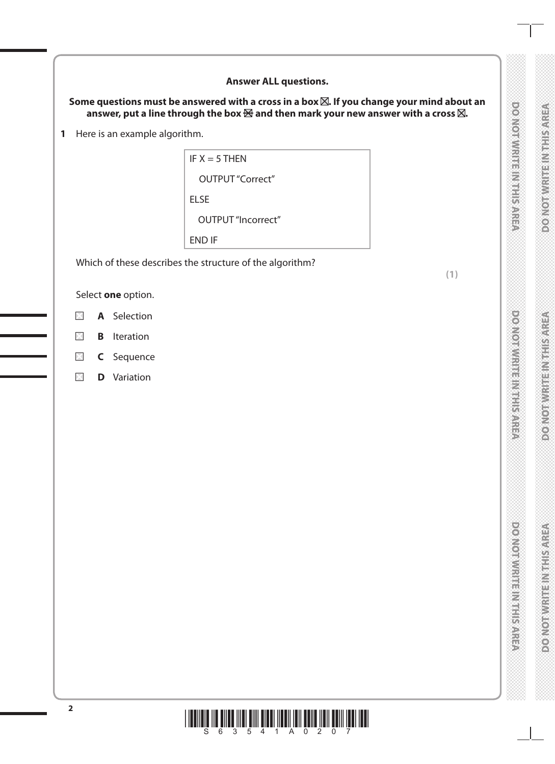## **Answer ALL questions.** Some questions must be answered with a cross in a box  $\boxtimes$ . If you change your mind about an **DOMORATIVE INTERNATIONS RESISTERING IN THE STROOM** answer, put a line through the box  $\boxtimes$  and then mark your new answer with a cross  $\boxtimes$ . **1** Here is an example algorithm. IF  $X = 5$  THEN OUTPUT "Correct" ELSE OUTPUT "Incorrect" END IF Which of these describes the structure of the algorithm? **(1)** Select **one** option.  $\boxtimes$ **A** Selection **PERMIT AND MANUFACTURES DOMORAGE IN STREET OF**  $\times$ **B** Iteration  $\boxtimes$ **C** Sequence  $\times$ **D** Variation**DOMORATION ENVIRONMENT DOMORWRITENMIEISARES \***  $\begin{bmatrix} 2 & 0 & 0 \\ 0 & 0 & 0 \\ 0 & 0 & 0 \end{bmatrix} \begin{bmatrix} 1 & 0 & 0 \\ 0 & 0 & 0 \\ 0 & 0 & 0 \end{bmatrix}$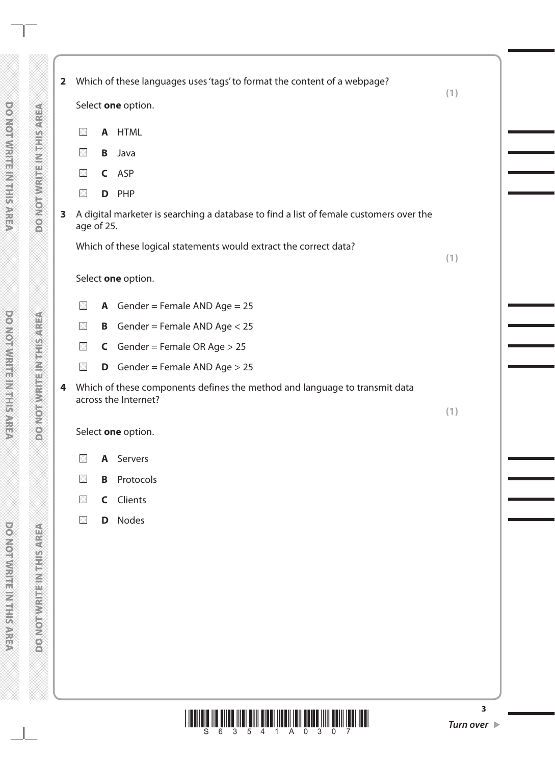|              |             |   | Select one option.                                                                                 | (1) |
|--------------|-------------|---|----------------------------------------------------------------------------------------------------|-----|
|              |             |   |                                                                                                    |     |
|              | $\boxtimes$ | A | <b>HTML</b>                                                                                        |     |
|              | $\boxtimes$ | B | Java                                                                                               |     |
|              | $\boxtimes$ |   | C ASP                                                                                              |     |
|              | $\boxtimes$ | D | PHP                                                                                                |     |
| $\mathbf{3}$ | age of 25.  |   | A digital marketer is searching a database to find a list of female customers over the             |     |
|              |             |   | Which of these logical statements would extract the correct data?                                  | (1) |
|              |             |   |                                                                                                    |     |
|              |             |   | Select one option.                                                                                 |     |
|              | $\times$    |   | <b>A</b> Gender = Female AND Age = $25$                                                            |     |
|              | $\times$    | B | Gender = Female AND Age < 25                                                                       |     |
|              | $\times$    |   | <b>C</b> Gender = Female OR Age $> 25$                                                             |     |
|              | $\boxtimes$ |   | <b>D</b> Gender = Female AND Age $> 25$                                                            |     |
| 4            |             |   | Which of these components defines the method and language to transmit data<br>across the Internet? | (1) |
|              |             |   | Select one option.                                                                                 |     |
|              | $\times$    |   | A Servers                                                                                          |     |
|              | $\boxtimes$ | B | Protocols                                                                                          |     |
|              | $\boxtimes$ |   | <b>C</b> Clients                                                                                   |     |
|              | $\times$    | D | Nodes                                                                                              |     |
|              |             |   |                                                                                                    |     |
|              |             |   |                                                                                                    |     |
|              |             |   |                                                                                                    |     |
|              |             |   |                                                                                                    |     |
|              |             |   |                                                                                                    |     |
|              |             |   |                                                                                                    |     |
|              |             |   |                                                                                                    |     |



**DOMOTWRITEINMENSAREA** 

DO NOTWRITE INTHISAREA

 $\mathbf{I}$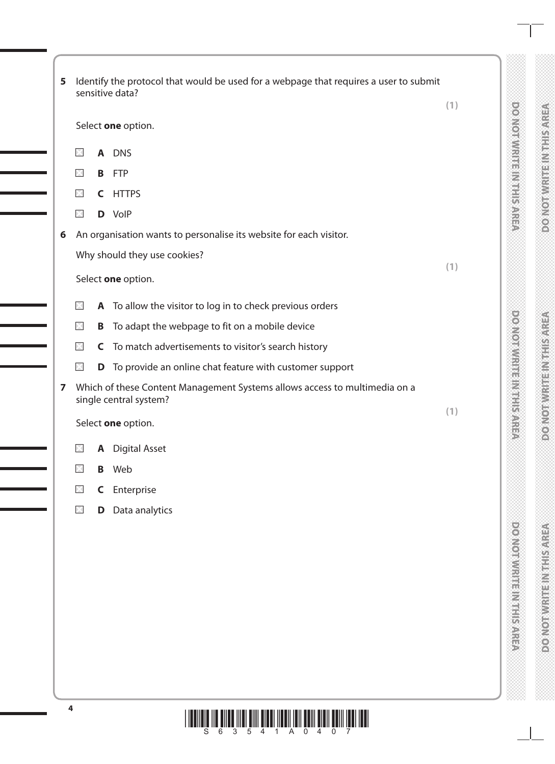| 5 |             |   | Identify the protocol that would be used for a webpage that requires a user to submit<br>sensitive data? |                                    |
|---|-------------|---|----------------------------------------------------------------------------------------------------------|------------------------------------|
|   |             |   |                                                                                                          | (1)                                |
|   |             |   | Select one option.                                                                                       | <b>DOMOTOWRITE IN REPLISANER</b>   |
|   | X           | A | <b>DNS</b>                                                                                               |                                    |
|   | $\times$    | B | <b>FTP</b>                                                                                               |                                    |
|   | $\times$    | C | <b>HTTPS</b>                                                                                             |                                    |
|   | $\times$    |   | D VolP                                                                                                   |                                    |
| 6 |             |   | An organisation wants to personalise its website for each visitor.                                       |                                    |
|   |             |   | Why should they use cookies?                                                                             |                                    |
|   |             |   | Select one option.                                                                                       | (1)                                |
|   | $\times$    |   | A To allow the visitor to log in to check previous orders                                                |                                    |
|   | $\times$    | Β | To adapt the webpage to fit on a mobile device                                                           |                                    |
|   | $>\zeta$    | C | To match advertisements to visitor's search history                                                      |                                    |
|   | $\times$    |   | <b>D</b> To provide an online chat feature with customer support                                         |                                    |
| 7 |             |   | Which of these Content Management Systems allows access to multimedia on a<br>single central system?     | <b>DOMORATION IS NOT THE STATE</b> |
|   |             |   | Select one option.                                                                                       | (1)                                |
|   | $\times$    | A | <b>Digital Asset</b>                                                                                     |                                    |
|   | $\boxtimes$ | B | Web                                                                                                      |                                    |
|   | $\times$    | C | Enterprise                                                                                               |                                    |
|   | $\times$    | D | Data analytics                                                                                           |                                    |
|   |             |   |                                                                                                          |                                    |
|   |             |   |                                                                                                          |                                    |
|   |             |   |                                                                                                          |                                    |
|   |             |   |                                                                                                          |                                    |
|   |             |   |                                                                                                          |                                    |
|   |             |   |                                                                                                          | <b>PONOTOWRITE IN THIS AREA</b>    |
|   |             |   |                                                                                                          |                                    |
|   |             |   |                                                                                                          |                                    |

**DONOTWRITEINITES/NEED** 

**DONOTWERFINGHIS AREA** 

**DONOTWRITE IN THIS AREA** 

## \*S63541A0407\* **<sup>4</sup>**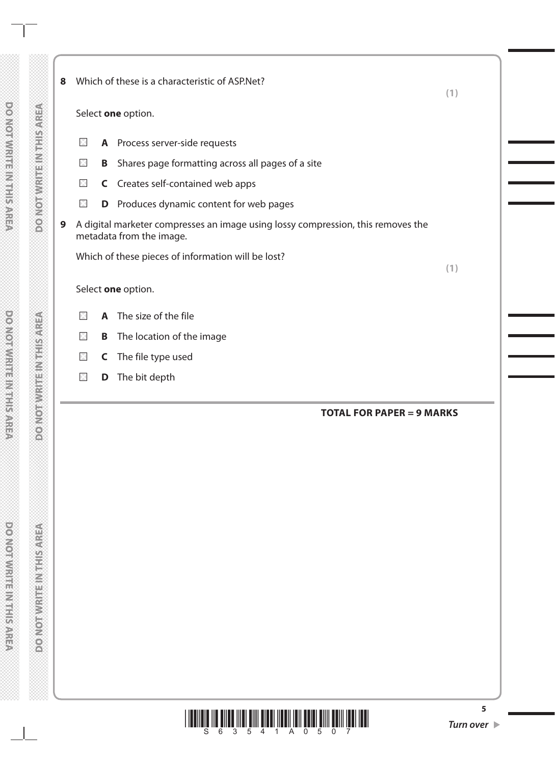DO NOTWRITE INTHISAREA

**DONOTWINEEDING AREA** 

 $\Box$ 

J.

**PROVIDENTIAL METALCONER** 

**DOMORWICHER WEBSINGS** 

| 8 | Which of these is a characteristic of ASP.Net?<br>(1)                                                        |   |                                                    |     |
|---|--------------------------------------------------------------------------------------------------------------|---|----------------------------------------------------|-----|
|   |                                                                                                              |   | Select one option.                                 |     |
|   | $\times$                                                                                                     |   | A Process server-side requests                     |     |
|   | $\times$                                                                                                     | B | Shares page formatting across all pages of a site  |     |
|   | $\times$                                                                                                     |   | C Creates self-contained web apps                  |     |
|   | $\times$                                                                                                     | D | Produces dynamic content for web pages             |     |
| 9 | A digital marketer compresses an image using lossy compression, this removes the<br>metadata from the image. |   |                                                    |     |
|   |                                                                                                              |   | Which of these pieces of information will be lost? |     |
|   |                                                                                                              |   |                                                    | (1) |
|   |                                                                                                              |   | Select one option.                                 |     |
|   | $\times$                                                                                                     |   | A The size of the file                             |     |
|   | $\boxtimes$                                                                                                  | B | The location of the image                          |     |
|   | $\times$                                                                                                     | C | The file type used                                 |     |
|   | $\times$                                                                                                     | D | The bit depth                                      |     |
|   |                                                                                                              |   | <b>TOTAL FOR PAPER = 9 MARKS</b>                   |     |
|   |                                                                                                              |   |                                                    |     |
|   |                                                                                                              |   |                                                    |     |
|   |                                                                                                              |   |                                                    |     |
|   |                                                                                                              |   |                                                    |     |
|   |                                                                                                              |   |                                                    |     |
|   |                                                                                                              |   |                                                    |     |
|   |                                                                                                              |   |                                                    |     |
|   |                                                                                                              |   |                                                    |     |
|   |                                                                                                              |   |                                                    |     |

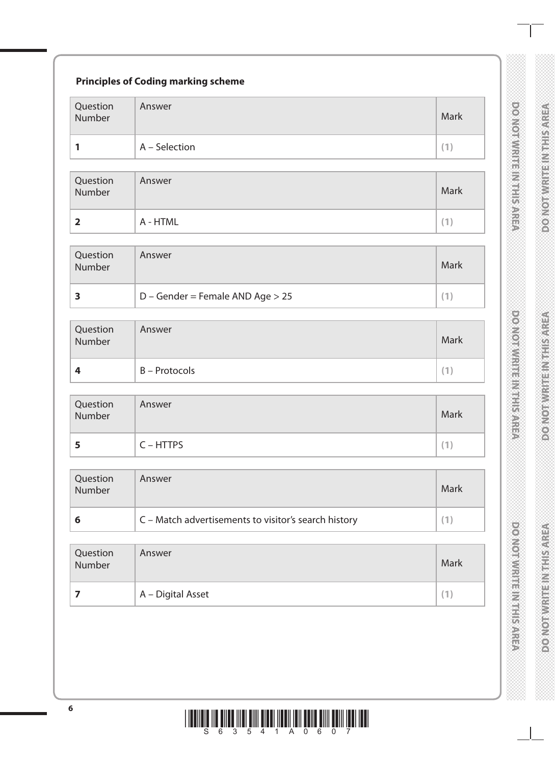| Question<br>Number      | Answer                                               | Mark        |
|-------------------------|------------------------------------------------------|-------------|
| 1                       | A - Selection                                        | (1)         |
| Question<br>Number      | Answer                                               | Mark        |
| $\overline{\mathbf{2}}$ | A - HTML                                             | (1)         |
| Question<br>Number      | Answer                                               | Mark        |
| 3                       | D - Gender = Female AND Age > 25                     | (1)         |
| Question<br>Number      | Answer                                               | Mark        |
| 4                       | <b>B</b> – Protocols                                 | (1)         |
| Question<br>Number      | Answer                                               | <b>Mark</b> |
| 5                       | $C - HTTPS$                                          | (1)         |
| Question<br>Number      | Answer                                               | Mark        |
| 6                       | C - Match advertisements to visitor's search history | (1)         |
| Question<br>Number      | Answer                                               | Mark        |
| $\overline{\mathbf{z}}$ | A - Digital Asset                                    | (1)         |

DONOTWRITEINTHISAREA

DOMOTWRITEM THIS AREA

**DOMOTWRITEINITHISAREA** 

\*S63541A0607\* **<sup>6</sup>**